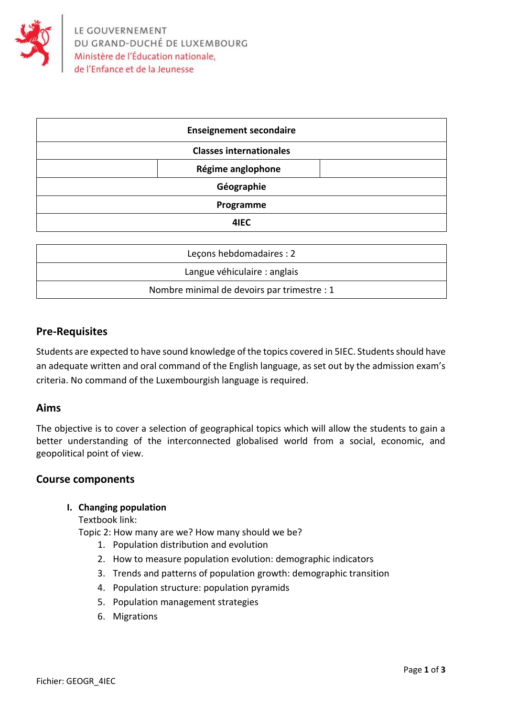

| <b>Enseignement secondaire</b> |  |
|--------------------------------|--|
| <b>Classes internationales</b> |  |
| Régime anglophone              |  |
| Géographie                     |  |
| Programme                      |  |
| 4IEC                           |  |

| Leçons hebdomadaires : 2                    |  |
|---------------------------------------------|--|
| Langue véhiculaire : anglais                |  |
| Nombre minimal de devoirs par trimestre : 1 |  |

# **Pre-Requisites**

Students are expected to have sound knowledge of the topics covered in 5IEC. Students should have an adequate written and oral command of the English language, as set out by the admission exam's criteria. No command of the Luxembourgish language is required.

# **Aims**

The objective is to cover a selection of geographical topics which will allow the students to gain a better understanding of the interconnected globalised world from a social, economic, and geopolitical point of view.

#### **Course components**

#### **I. Changing population**

Textbook link:

Topic 2: How many are we? How many should we be?

- 1. Population distribution and evolution
- 2. How to measure population evolution: demographic indicators
- 3. Trends and patterns of population growth: demographic transition
- 4. Population structure: population pyramids
- 5. Population management strategies
- 6. Migrations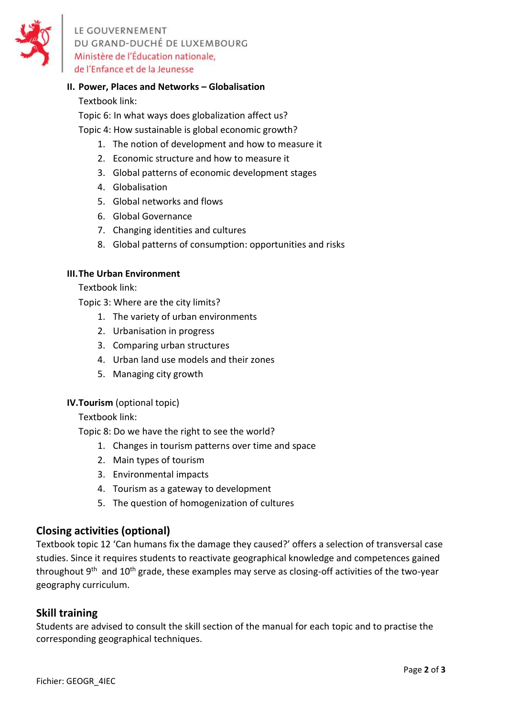

LE GOUVERNEMENT DU GRAND-DUCHÉ DE LUXEMBOURG Ministère de l'Éducation nationale, de l'Enfance et de la Jeunesse

# **II. Power, Places and Networks – Globalisation**

### Textbook link:

Topic 6: In what ways does globalization affect us?

Topic 4: How sustainable is global economic growth?

- 1. The notion of development and how to measure it
- 2. Economic structure and how to measure it
- 3. Global patterns of economic development stages
- 4. Globalisation
- 5. Global networks and flows
- 6. Global Governance
- 7. Changing identities and cultures
- 8. Global patterns of consumption: opportunities and risks

#### **III.The Urban Environment**

Textbook link:

Topic 3: Where are the city limits?

- 1. The variety of urban environments
- 2. Urbanisation in progress
- 3. Comparing urban structures
- 4. Urban land use models and their zones
- 5. Managing city growth

#### **IV.Tourism** (optional topic)

Textbook link:

Topic 8: Do we have the right to see the world?

- 1. Changes in tourism patterns over time and space
- 2. Main types of tourism
- 3. Environmental impacts
- 4. Tourism as a gateway to development
- 5. The question of homogenization of cultures

# **Closing activities (optional)**

Textbook topic 12 'Can humans fix the damage they caused?' offers a selection of transversal case studies. Since it requires students to reactivate geographical knowledge and competences gained throughout 9<sup>th</sup> and 10<sup>th</sup> grade, these examples may serve as closing-off activities of the two-year geography curriculum.

## **Skill training**

Students are advised to consult the skill section of the manual for each topic and to practise the corresponding geographical techniques.